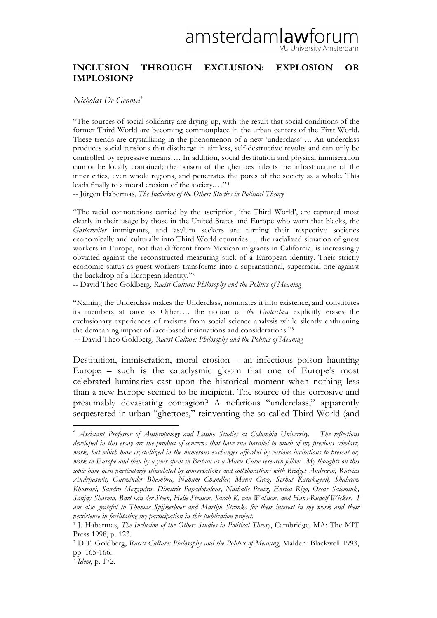## amsterdam**law**forum (U University Amsterdam

## **INCLUSION THROUGH EXCLUSION: EXPLOSION OR IMPLOSION?**

## *Nicholas De Genova*<sup>∗</sup>

"The sources of social solidarity are drying up, with the result that social conditions of the former Third World are becoming commonplace in the urban centers of the First World. These trends are crystallizing in the phenomenon of a new 'underclass'…. An underclass produces social tensions that discharge in aimless, self-destructive revolts and can only be controlled by repressive means…. In addition, social destitution and physical immiseration cannot be locally contained; the poison of the ghettoes infects the infrastructure of the inner cities, even whole regions, and penetrates the pores of the society as a whole. This leads finally to a moral erosion of the society.…" <sup>1</sup>

-- Jürgen Habermas, *The Inclusion of the Other: Studies in Political Theory*

"The racial connotations carried by the ascription, 'the Third World', are captured most clearly in their usage by those in the United States and Europe who warn that blacks, the *Gastarbeiter* immigrants, and asylum seekers are turning their respective societies economically and culturally into Third World countries…. the racialized situation of guest workers in Europe, not that different from Mexican migrants in California, is increasingly obviated against the reconstructed measuring stick of a European identity. Their strictly economic status as guest workers transforms into a supranational, superracial one against the backdrop of a European identity."2

-- David Theo Goldberg, *Racist Culture: Philosophy and the Politics of Meaning*

"Naming the Underclass makes the Underclass, nominates it into existence, and constitutes its members at once as Other…. the notion of *the Underclass* explicitly erases the exclusionary experiences of racisms from social science analysis while silently enthroning the demeaning impact of race-based insinuations and considerations."3

-- David Theo Goldberg, *Racist Culture: Philosophy and the Politics of Meaning*

Destitution, immiseration, moral erosion – an infectious poison haunting Europe – such is the cataclysmic gloom that one of Europe's most celebrated luminaries cast upon the historical moment when nothing less than a new Europe seemed to be incipient. The source of this corrosive and presumably devastating contagion? A nefarious "underclass," apparently sequestered in urban "ghettoes," reinventing the so-called Third World (and

<sup>∗</sup> *Assistant Professor of Anthropology and Latino Studies at Columbia University. The reflections developed in this essay are the product of concerns that have run parallel to much of my previous scholarly work, but which have crystallized in the numerous exchanges afforded by various invitations to present my work in Europe and then by a year spent in Britain as a Marie Curie research fellow. My thoughts on this topic have been particularly stimulated by conversations and collaborations with Bridget Anderson, Rutvica Andrijasevic, Gurminder Bhambra, Nahum Chandler, Manu Grez, Serhat Karakayali, Shahram Khosravi, Sandro Mezzadra, Dimitris Papadopolous, Nathalie Peutz, Enrica Rigo, Oscar Salemink, Sanjay Sharma, Bart van der Steen, Helle Stenum, Sarah K. van Walsum, and Hans-Rudolf Wicker. I am also grateful to Thomas Spijkerboer and Martijn Stronks for their interest in my work and their persistence in facilitating my participation in this publication project.*

<sup>1</sup> J. Habermas, *The Inclusion of the Other: Studies in Political Theory*, Cambridge, MA: The MIT Press 1998, p. 123.

<sup>2</sup> D.T. Goldberg, *Racist Culture: Philosophy and the Politics of Meaning*, Malden: Blackwell 1993, pp. 165-166..

<sup>3</sup> *Idem*, p. 172.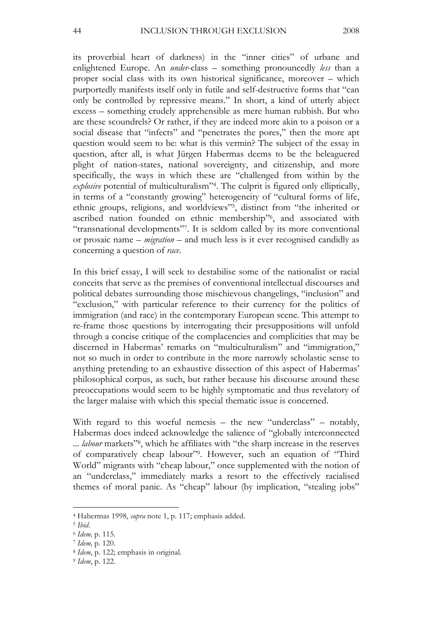its proverbial heart of darkness) in the "inner cities" of urbane and enlightened Europe. An *under*-class – something pronouncedly *less* than a proper social class with its own historical significance, moreover – which purportedly manifests itself only in futile and self-destructive forms that "can only be controlled by repressive means." In short, a kind of utterly abject excess – something crudely apprehensible as mere human rubbish. But who are these scoundrels? Or rather, if they are indeed more akin to a poison or a social disease that "infects" and "penetrates the pores," then the more apt question would seem to be: what is this vermin? The subject of the essay in question, after all, is what Jürgen Habermas deems to be the beleaguered plight of nation-states, national sovereignty, and citizenship, and more specifically, the ways in which these are "challenged from within by the *explosive* potential of multiculturalism"4. The culprit is figured only elliptically, in terms of a "constantly growing" heterogeneity of "cultural forms of life, ethnic groups, religions, and worldviews"5, distinct from "the inherited or ascribed nation founded on ethnic membership"6, and associated with "transnational developments"7. It is seldom called by its more conventional or prosaic name – *migration* – and much less is it ever recognised candidly as concerning a question of *race*.

In this brief essay, I will seek to destabilise some of the nationalist or racial conceits that serve as the premises of conventional intellectual discourses and political debates surrounding those mischievous changelings, "inclusion" and "exclusion," with particular reference to their currency for the politics of immigration (and race) in the contemporary European scene. This attempt to re-frame those questions by interrogating their presuppositions will unfold through a concise critique of the complacencies and complicities that may be discerned in Habermas' remarks on "multiculturalism" and "immigration," not so much in order to contribute in the more narrowly scholastic sense to anything pretending to an exhaustive dissection of this aspect of Habermas' philosophical corpus, as such, but rather because his discourse around these preoccupations would seem to be highly symptomatic and thus revelatory of the larger malaise with which this special thematic issue is concerned.

With regard to this woeful nemesis – the new "underclass" – notably, Habermas does indeed acknowledge the salience of "globally interconnected ... *labour* markets"8, which he affiliates with "the sharp increase in the reserves of comparatively cheap labour"9. However, such an equation of "Third World" migrants with "cheap labour," once supplemented with the notion of an "underclass," immediately marks a resort to the effectively racialised themes of moral panic. As "cheap" labour (by implication, "stealing jobs"

<sup>4</sup> Habermas 1998, *supra* note 1, p. 117; emphasis added.

<sup>5</sup> *Ibid*.

<sup>6</sup> *Idem,* p. 115.

<sup>7</sup> *Idem,* p. 120.

<sup>8</sup> *Idem*, p. 122; emphasis in original.

<sup>9</sup> *Idem*, p. 122.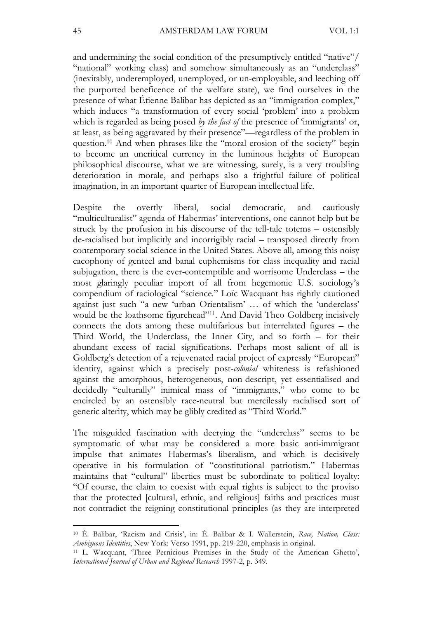and undermining the social condition of the presumptively entitled "native"/ "national" working class) and somehow simultaneously as an "underclass" (inevitably, underemployed, unemployed, or un-employable, and leeching off the purported beneficence of the welfare state), we find ourselves in the presence of what Étienne Balibar has depicted as an "immigration complex," which induces "a transformation of every social 'problem' into a problem which is regarded as being posed *by the fact of* the presence of 'immigrants' or, at least, as being aggravated by their presence"—regardless of the problem in question. 10 And when phrases like the "moral erosion of the society" begin to become an uncritical currency in the luminous heights of European philosophical discourse, what we are witnessing, surely, is a very troubling deterioration in morale, and perhaps also a frightful failure of political imagination, in an important quarter of European intellectual life.

Despite the overtly liberal, social democratic, and cautiously "multiculturalist" agenda of Habermas' interventions, one cannot help but be struck by the profusion in his discourse of the tell-tale totems – ostensibly de-racialised but implicitly and incorrigibly racial – transposed directly from contemporary social science in the United States. Above all, among this noisy cacophony of genteel and banal euphemisms for class inequality and racial subjugation, there is the ever-contemptible and worrisome Underclass – the most glaringly peculiar import of all from hegemonic U.S. sociology's compendium of raciological "science." Loïc Wacquant has rightly cautioned against just such "a new 'urban Orientalism' … of which the 'underclass' would be the loathsome figurehead"11. And David Theo Goldberg incisively connects the dots among these multifarious but interrelated figures – the Third World, the Underclass, the Inner City, and so forth – for their abundant excess of racial significations. Perhaps most salient of all is Goldberg's detection of a rejuvenated racial project of expressly "European" identity, against which a precisely post-*colonial* whiteness is refashioned against the amorphous, heterogeneous, non-descript, yet essentialised and decidedly "culturally" inimical mass of "immigrants," who come to be encircled by an ostensibly race-neutral but mercilessly racialised sort of generic alterity, which may be glibly credited as "Third World."

The misguided fascination with decrying the "underclass" seems to be symptomatic of what may be considered a more basic anti-immigrant impulse that animates Habermas's liberalism, and which is decisively operative in his formulation of "constitutional patriotism." Habermas maintains that "cultural" liberties must be subordinate to political loyalty: "Of course, the claim to coexist with equal rights is subject to the proviso that the protected [cultural, ethnic, and religious] faiths and practices must not contradict the reigning constitutional principles (as they are interpreted

<sup>10</sup> É. Balibar, 'Racism and Crisis', in: É. Balibar & I. Wallerstein, *Race, Nation, Class: Ambiguous Identities*, New York: Verso 1991, pp. 219-220, emphasis in original.

<sup>11</sup> L. Wacquant, 'Three Pernicious Premises in the Study of the American Ghetto', *International Journal of Urban and Regional Research* 1997-2, p. 349.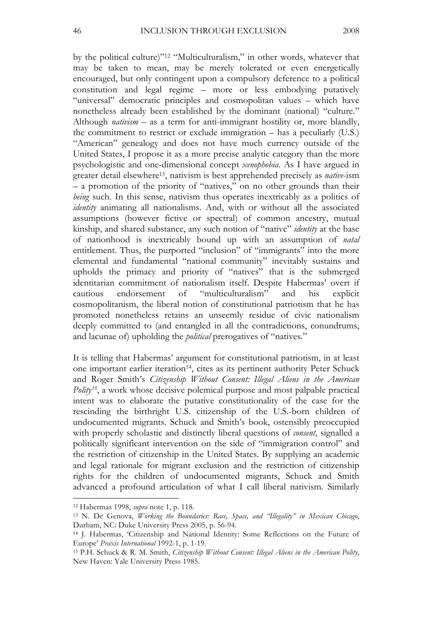by the political culture)"12 "Multiculturalism," in other words, whatever that may be taken to mean, may be merely tolerated or even energetically encouraged, but only contingent upon a compulsory deference to a political constitution and legal regime – more or less embodying putatively "universal" democratic principles and cosmopolitan values – which have nonetheless already been established by the dominant (national) "culture." Although *nativism* – as a term for anti-immigrant hostility or, more blandly, the commitment to restrict or exclude immigration – has a peculiarly (U.S.) "American" genealogy and does not have much currency outside of the United States, I propose it as a more precise analytic category than the more psychologistic and one-dimensional concept *xenophobia*. As I have argued in greater detail elsewhere13, nativism is best apprehended precisely as *native*-ism – a promotion of the priority of "natives," on no other grounds than their *being* such. In this sense, nativism thus operates inextricably as a politics of *identity* animating all nationalisms. And, with or without all the associated assumptions (however fictive or spectral) of common ancestry, mutual kinship, and shared substance, any such notion of "native" *identity* at the base of nationhood is inextricably bound up with an assumption of *natal* entitlement. Thus, the purported "inclusion" of "immigrants" into the more elemental and fundamental "national community" inevitably sustains and upholds the primacy and priority of "natives" that is the submerged identitarian commitment of nationalism itself. Despite Habermas' overt if cautious endorsement of "multiculturalism" and his explicit cosmopolitanism, the liberal notion of constitutional patriotism that he has promoted nonetheless retains an unseemly residue of civic nationalism deeply committed to (and entangled in all the contradictions, conundrums, and lacunae of) upholding the *political* prerogatives of "natives."

It is telling that Habermas' argument for constitutional patriotism, in at least one important earlier iteration<sup>14</sup>, cites as its pertinent authority Peter Schuck and Roger Smith's *Citizenship Without Consent: Illegal Aliens in the American Polity<sup>15</sup>*, a work whose decisive polemical purpose and most palpable practical intent was to elaborate the putative constitutionality of the case for the rescinding the birthright U.S. citizenship of the U.S.-born children of undocumented migrants. Schuck and Smith's book, ostensibly preoccupied with properly scholastic and distinctly liberal questions of *consent*, signalled a politically significant intervention on the side of "immigration control" and the restriction of citizenship in the United States. By supplying an academic and legal rationale for migrant exclusion and the restriction of citizenship rights for the children of undocumented migrants, Schuck and Smith advanced a profound articulation of what I call liberal nativism. Similarly

<sup>12</sup> Habermas 1998, *supra* note 1, p. 118.

<sup>13</sup> N. De Genova, *Working the Boundaries: Race, Space, and "Illegality" in Mexican Chicago*, Durham, NC: Duke University Press 2005, p. 56-94.

<sup>14</sup> J. Habermas, 'Citizenship and National Identity: Some Reflections on the Future of Europe' *Praxis International* 1992-1, p. 1-19.

<sup>15</sup> P.H. Schuck & R. M. Smith, *Citizenship Without Consent: Illegal Aliens in the American Polity*, New Haven: Yale University Press 1985.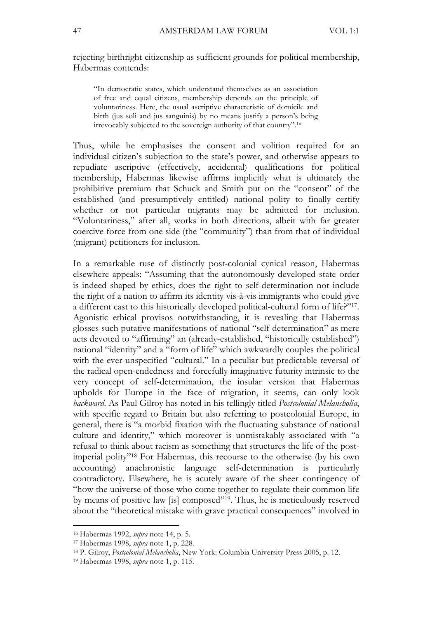rejecting birthright citizenship as sufficient grounds for political membership, Habermas contends:

"In democratic states, which understand themselves as an association of free and equal citizens, membership depends on the principle of voluntariness. Here, the usual ascriptive characteristic of domicile and birth (jus soli and jus sanguinis) by no means justify a person's being irrevocably subjected to the sovereign authority of that country". 16

Thus, while he emphasises the consent and volition required for an individual citizen's subjection to the state's power, and otherwise appears to repudiate ascriptive (effectively, accidental) qualifications for political membership, Habermas likewise affirms implicitly what is ultimately the prohibitive premium that Schuck and Smith put on the "consent" of the established (and presumptively entitled) national polity to finally certify whether or not particular migrants may be admitted for inclusion. "Voluntariness," after all, works in both directions, albeit with far greater coercive force from one side (the "community") than from that of individual (migrant) petitioners for inclusion.

In a remarkable ruse of distinctly post-colonial cynical reason, Habermas elsewhere appeals: "Assuming that the autonomously developed state order is indeed shaped by ethics, does the right to self-determination not include the right of a nation to affirm its identity vis-à-vis immigrants who could give a different cast to this historically developed political-cultural form of life?"17. Agonistic ethical provisos notwithstanding, it is revealing that Habermas glosses such putative manifestations of national "self-determination" as mere acts devoted to "affirming" an (already-established, "historically established") national "identity" and a "form of life" which awkwardly couples the political with the ever-unspecified "cultural." In a peculiar but predictable reversal of the radical open-endedness and forcefully imaginative futurity intrinsic to the very concept of self-determination, the insular version that Habermas upholds for Europe in the face of migration, it seems, can only look *backward*. As Paul Gilroy has noted in his tellingly titled *Postcolonial Melancholia*, with specific regard to Britain but also referring to postcolonial Europe, in general, there is "a morbid fixation with the fluctuating substance of national culture and identity," which moreover is unmistakably associated with "a refusal to think about racism as something that structures the life of the postimperial polity"18 For Habermas, this recourse to the otherwise (by his own accounting) anachronistic language self-determination is particularly contradictory. Elsewhere, he is acutely aware of the sheer contingency of "how the universe of those who come together to regulate their common life by means of positive law [is] composed"19. Thus, he is meticulously reserved about the "theoretical mistake with grave practical consequences" involved in

<sup>16</sup> Habermas 1992, *supra* note 14, p. 5.

<sup>17</sup> Habermas 1998, *supra* note 1, p. 228.

<sup>18</sup> P. Gilroy, *Postcolonial Melancholia*, New York: Columbia University Press 2005, p. 12.

<sup>19</sup> Habermas 1998, *supra* note 1, p. 115.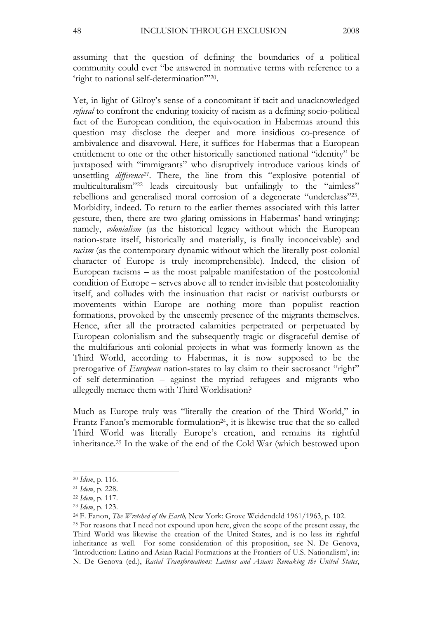assuming that the question of defining the boundaries of a political community could ever "be answered in normative terms with reference to a 'right to national self-determination'"20.

Yet, in light of Gilroy's sense of a concomitant if tacit and unacknowledged *refusal* to confront the enduring toxicity of racism as a defining socio-political fact of the European condition, the equivocation in Habermas around this question may disclose the deeper and more insidious co-presence of ambivalence and disavowal. Here, it suffices for Habermas that a European entitlement to one or the other historically sanctioned national "identity" be juxtaposed with "immigrants" who disruptively introduce various kinds of unsettling *difference*<sup>21</sup>. There, the line from this "explosive potential of multiculturalism"22 leads circuitously but unfailingly to the "aimless" rebellions and generalised moral corrosion of a degenerate "underclass"23. Morbidity, indeed. To return to the earlier themes associated with this latter gesture, then, there are two glaring omissions in Habermas' hand-wringing: namely, *colonialism* (as the historical legacy without which the European nation-state itself, historically and materially, is finally inconceivable) and *racism* (as the contemporary dynamic without which the literally post-colonial character of Europe is truly incomprehensible). Indeed, the elision of European racisms – as the most palpable manifestation of the postcolonial condition of Europe – serves above all to render invisible that postcoloniality itself, and colludes with the insinuation that racist or nativist outbursts or movements within Europe are nothing more than populist reaction formations, provoked by the unseemly presence of the migrants themselves. Hence, after all the protracted calamities perpetrated or perpetuated by European colonialism and the subsequently tragic or disgraceful demise of the multifarious anti-colonial projects in what was formerly known as the Third World, according to Habermas, it is now supposed to be the prerogative of *European* nation-states to lay claim to their sacrosanct "right" of self-determination – against the myriad refugees and migrants who allegedly menace them with Third Worldisation?

Much as Europe truly was "literally the creation of the Third World," in Frantz Fanon's memorable formulation<sup>24</sup>, it is likewise true that the so-called Third World was literally Europe's creation, and remains its rightful inheritance.25 In the wake of the end of the Cold War (which bestowed upon

<sup>20</sup> *Idem*, p. 116.

<sup>21</sup> *Idem*, p. 228.

<sup>22</sup> *Idem*, p. 117.

<sup>23</sup> *Idem*, p. 123.

<sup>24</sup> F. Fanon, *The Wretched of the Earth,* New York: Grove Weidendeld 1961/1963, p. 102.

<sup>25</sup> For reasons that I need not expound upon here, given the scope of the present essay, the Third World was likewise the creation of the United States, and is no less its rightful inheritance as well. For some consideration of this proposition, see N. De Genova, 'Introduction: Latino and Asian Racial Formations at the Frontiers of U.S. Nationalism', in: N. De Genova (ed.), *Racial Transformations: Latinos and Asians Remaking the United States*,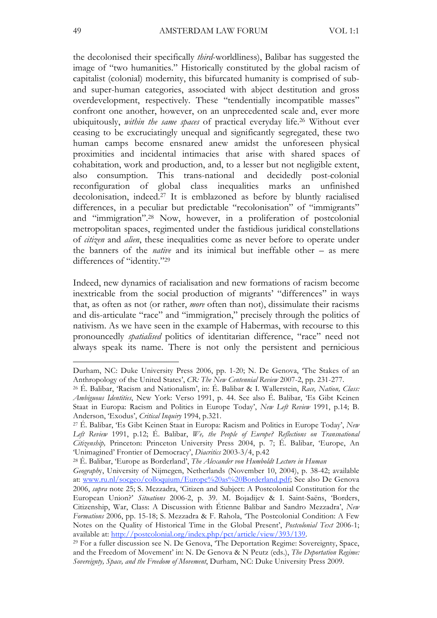the decolonised their specifically *third*-worldliness), Balibar has suggested the image of "two humanities." Historically constituted by the global racism of capitalist (colonial) modernity, this bifurcated humanity is comprised of suband super-human categories, associated with abject destitution and gross overdevelopment, respectively. These "tendentially incompatible masses" confront one another, however, on an unprecedented scale and, ever more ubiquitously, *within the same spaces* of practical everyday life. 26 Without ever ceasing to be excruciatingly unequal and significantly segregated, these two human camps become ensnared anew amidst the unforeseen physical proximities and incidental intimacies that arise with shared spaces of cohabitation, work and production, and, to a lesser but not negligible extent, also consumption. This trans-national and decidedly post-colonial reconfiguration of global class inequalities marks an unfinished decolonisation, indeed. 27 It is emblazoned as before by bluntly racialised differences, in a peculiar but predictable "recolonisation" of "immigrants" and "immigration". 28 Now, however, in a proliferation of postcolonial metropolitan spaces, regimented under the fastidious juridical constellations of *citizen* and *alien*, these inequalities come as never before to operate under the banners of the *native* and its inimical but ineffable other – as mere differences of "identity."<sup>29</sup>

Indeed, new dynamics of racialisation and new formations of racism become inextricable from the social production of migrants' "differences" in ways that, as often as not (or rather, *more* often than not), dissimulate their racisms and dis-articulate "race" and "immigration," precisely through the politics of nativism. As we have seen in the example of Habermas, with recourse to this pronouncedly *spatialised* politics of identitarian difference, "race" need not always speak its name. There is not only the persistent and pernicious

Durham, NC: Duke University Press 2006, pp. 1-20; N. De Genova, 'The Stakes of an Anthropology of the United States', *CR: The New Centennial Review* 2007-2, pp. 231-277.

<sup>26</sup> É. Balibar, 'Racism and Nationalism', in: É. Balibar & I. Wallerstein, *Race, Nation, Class: Ambiguous Identities*, New York: Verso 1991, p. 44. See also É. Balibar, 'Es Gibt Keinen Staat in Europa: Racism and Politics in Europe Today', *New Left Review* 1991, p.14; B. Anderson, 'Exodus', *Critical Inquiry* 1994, p.321.

<sup>27</sup> É. Balibar, 'Es Gibt Keinen Staat in Europa: Racism and Politics in Europe Today', *New Left Review* 1991, p.12; É. Balibar, *We, the People of Europe? Reflections on Transnational Citizenship,* Princeton: Princeton University Press 2004, p. 7; É. Balibar, 'Europe, An 'Unimagined' Frontier of Democracy', *Diacritics* 2003-3/4, p.42

<sup>28</sup> É. Balibar, 'Europe as Borderland', *The Alexander von Humboldt Lecture in Human* 

*Geograph*y, University of Nijmegen, Netherlands (November 10, 2004), p. 38-42; available at: www.ru.nl/socgeo/colloquium/Europe%20as%20Borderland.pdf; See also De Genova 2006, *supra* note 25; S. Mezzadra, 'Citizen and Subject: A Postcolonial Constitution for the European Union?' *Situations* 2006-2, p. 39. M. Bojadijev & I. Saint-Saëns, 'Borders, Citizenship, War, Class: A Discussion with Étienne Balibar and Sandro Mezzadra', *New Formations* 2006, pp. 15-18; S. Mezzadra & F. Rahola, 'The Postcolonial Condition: A Few Notes on the Quality of Historical Time in the Global Present', *Postcolonial Text* 2006-1; available at: http://postcolonial.org/index.php/pct/article/view/393/139.

<sup>29</sup> For a fuller discussion see N. De Genova, 'The Deportation Regime: Sovereignty, Space, and the Freedom of Movement' in: N. De Genova & N Peutz (eds.), *The Deportation Regime: Sovereignty, Space, and the Freedom of Movement*, Durham, NC: Duke University Press 2009.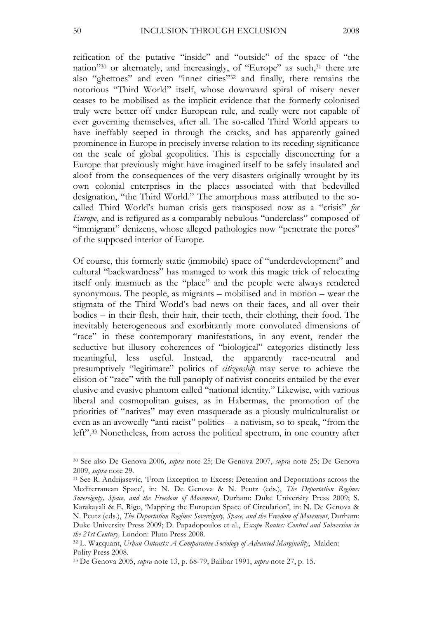reification of the putative "inside" and "outside" of the space of "the nation"30 or alternately, and increasingly, of "Europe" as such, 31 there are also "ghettoes" and even "inner cities"32 and finally, there remains the notorious "Third World" itself, whose downward spiral of misery never ceases to be mobilised as the implicit evidence that the formerly colonised truly were better off under European rule, and really were not capable of ever governing themselves, after all. The so-called Third World appears to have ineffably seeped in through the cracks, and has apparently gained prominence in Europe in precisely inverse relation to its receding significance on the scale of global geopolitics. This is especially disconcerting for a Europe that previously might have imagined itself to be safely insulated and aloof from the consequences of the very disasters originally wrought by its own colonial enterprises in the places associated with that bedevilled designation, "the Third World." The amorphous mass attributed to the socalled Third World's human crisis gets transposed now as a "crisis" *for Europe*, and is refigured as a comparably nebulous "underclass" composed of "immigrant" denizens, whose alleged pathologies now "penetrate the pores" of the supposed interior of Europe.

Of course, this formerly static (immobile) space of "underdevelopment" and cultural "backwardness" has managed to work this magic trick of relocating itself only inasmuch as the "place" and the people were always rendered synonymous. The people, as migrants – mobilised and in motion – wear the stigmata of the Third World's bad news on their faces, and all over their bodies – in their flesh, their hair, their teeth, their clothing, their food. The inevitably heterogeneous and exorbitantly more convoluted dimensions of "race" in these contemporary manifestations, in any event, render the seductive but illusory coherences of "biological" categories distinctly less meaningful, less useful. Instead, the apparently race-neutral and presumptively "legitimate" politics of *citizenship* may serve to achieve the elision of "race" with the full panoply of nativist conceits entailed by the ever elusive and evasive phantom called "national identity." Likewise, with various liberal and cosmopolitan guises, as in Habermas, the promotion of the priorities of "natives" may even masquerade as a piously multiculturalist or even as an avowedly "anti-racist" politics – a nativism, so to speak, "from the left". 33 Nonetheless, from across the political spectrum, in one country after

<sup>30</sup> See also De Genova 2006, *supra* note 25; De Genova 2007, *supra* note 25; De Genova 2009, *supra* note 29.

<sup>31</sup> See R. Andrijasevic, 'From Exception to Excess: Detention and Deportations across the Mediterranean Space', in: N. De Genova & N. Peutz (eds.), *The Deportation Regime: Sovereignty, Space, and the Freedom of Movement*, Durham: Duke University Press 2009; S. Karakayali & E. Rigo, 'Mapping the European Space of Circulation', in: N. De Genova & N. Peutz (eds.), *The Deportation Regime: Sovereignty, Space, and the Freedom of Movement*, Durham: Duke University Press 2009; D. Papadopoulos et al., *Escape Routes: Control and Subversion in the 21st Century,* London: Pluto Press 2008.

<sup>32</sup> L. Wacquant, *Urban Outcasts: A Comparative Sociology of Advanced Marginality*, Malden: Polity Press 2008.

<sup>33</sup> De Genova 2005, *supra* note 13, p. 68-79; Balibar 1991, *supra* note 27, p. 15.